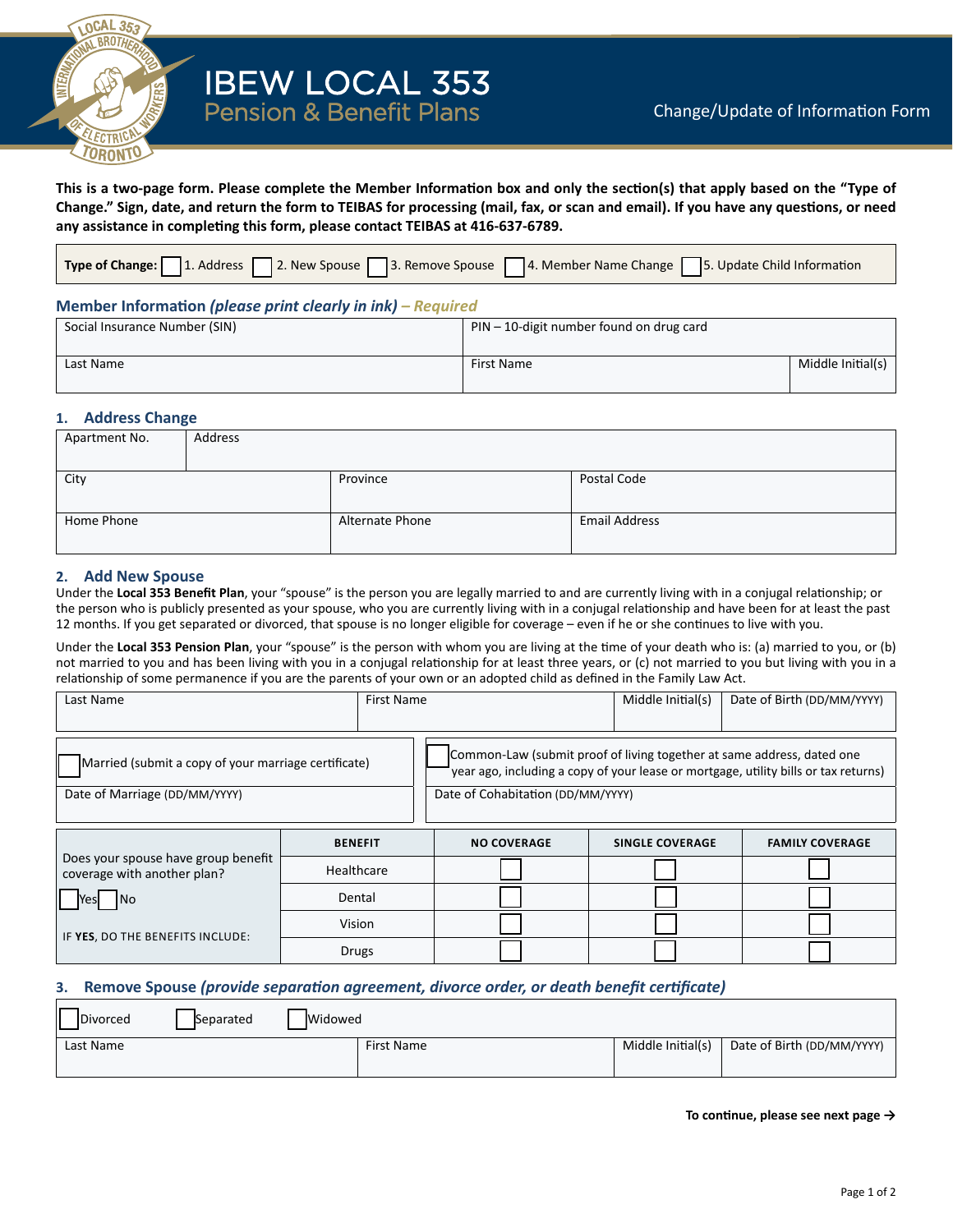

**This is a two-page form. Please complete the Member Information box and only the section(s) that apply based on the "Type of Change." Sign, date, and return the form to TEIBAS for processing (mail, fax, or scan and email). If you have any questions, or need any assistance in completing this form, please contact TEIBAS at 416-637-6789.**

| Type of Change: 1. Address 2. New Spouse 3. Remove Spouse 4. Member Name Change 5. Update Child Information |  |
|-------------------------------------------------------------------------------------------------------------|--|
|-------------------------------------------------------------------------------------------------------------|--|

## **Member Information** *(please print clearly in ink) – Required*

| Social Insurance Number (SIN) | $PIN - 10$ -digit number found on drug card |                   |  |  |
|-------------------------------|---------------------------------------------|-------------------|--|--|
| Last Name                     | First Name                                  | Middle Initial(s) |  |  |

#### **1. Address Change**

| Apartment No. | Address |                 |                      |
|---------------|---------|-----------------|----------------------|
|               |         |                 |                      |
| City          |         | Province        | Postal Code          |
|               |         |                 |                      |
| Home Phone    |         | Alternate Phone | <b>Email Address</b> |
|               |         |                 |                      |

## **2. Add New Spouse**

Under the **Local 353 Benefit Plan**, your "spouse" is the person you are legally married to and are currently living with in a conjugal relationship; or the person who is publicly presented as your spouse, who you are currently living with in a conjugal relationship and have been for at least the past 12 months. If you get separated or divorced, that spouse is no longer eligible for coverage – even if he or she continues to live with you.

Under the **Local 353 Pension Plan**, your "spouse" is the person with whom you are living at the time of your death who is: (a) married to you, or (b) not married to you and has been living with you in a conjugal relationship for at least three years, or (c) not married to you but living with you in a relationship of some permanence if you are the parents of your own or an adopted child as defined in the Family Law Act.

| Last Name                                                          | <b>First Name</b> |                                                                                                                                                               | Middle Initial(s)      | Date of Birth (DD/MM/YYYY) |  |  |
|--------------------------------------------------------------------|-------------------|---------------------------------------------------------------------------------------------------------------------------------------------------------------|------------------------|----------------------------|--|--|
|                                                                    |                   |                                                                                                                                                               |                        |                            |  |  |
| Married (submit a copy of your marriage certificate)               |                   | Common-Law (submit proof of living together at same address, dated one<br>year ago, including a copy of your lease or mortgage, utility bills or tax returns) |                        |                            |  |  |
| Date of Marriage (DD/MM/YYYY)                                      |                   | Date of Cohabitation (DD/MM/YYYY)                                                                                                                             |                        |                            |  |  |
|                                                                    | <b>BENEFIT</b>    | <b>NO COVERAGE</b>                                                                                                                                            | <b>SINGLE COVERAGE</b> | <b>FAMILY COVERAGE</b>     |  |  |
| Does your spouse have group benefit<br>coverage with another plan? | Healthcare        |                                                                                                                                                               |                        |                            |  |  |
| No.<br>lYesl                                                       | Dental            |                                                                                                                                                               |                        |                            |  |  |
|                                                                    | Vision            |                                                                                                                                                               |                        |                            |  |  |
| IF YES, DO THE BENEFITS INCLUDE:                                   | Drugs             |                                                                                                                                                               |                        |                            |  |  |

## **3. Remove Spouse** *(provide separation agreement, divorce order, or death benefit certificate)*

| <b>IDivorced</b> | Separated | Widowed |                   |                   |                            |
|------------------|-----------|---------|-------------------|-------------------|----------------------------|
| Last Name        |           |         | <b>First Name</b> | Middle Initial(s) | Date of Birth (DD/MM/YYYY) |